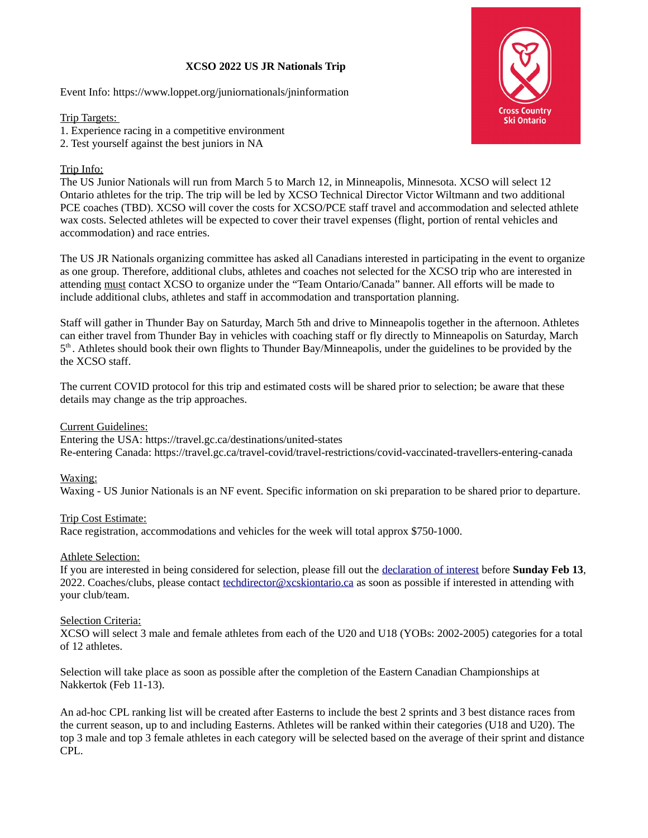## **XCSO 2022 US JR Nationals Trip**

Event Info: https://www.loppet.org/juniornationals/jninformation

Trip Targets:

1. Experience racing in a competitive environment

2. Test yourself against the best juniors in NA

# Trip Info:

The US Junior Nationals will run from March 5 to March 12, in Minneapolis, Minnesota. XCSO will select 12 Ontario athletes for the trip. The trip will be led by XCSO Technical Director Victor Wiltmann and two additional PCE coaches (TBD). XCSO will cover the costs for XCSO/PCE staff travel and accommodation and selected athlete wax costs. Selected athletes will be expected to cover their travel expenses (flight, portion of rental vehicles and accommodation) and race entries.

The US JR Nationals organizing committee has asked all Canadians interested in participating in the event to organize as one group. Therefore, additional clubs, athletes and coaches not selected for the XCSO trip who are interested in attending must contact XCSO to organize under the "Team Ontario/Canada" banner. All efforts will be made to include additional clubs, athletes and staff in accommodation and transportation planning.

Staff will gather in Thunder Bay on Saturday, March 5th and drive to Minneapolis together in the afternoon. Athletes can either travel from Thunder Bay in vehicles with coaching staff or fly directly to Minneapolis on Saturday, March 5<sup>th</sup>. Athletes should book their own flights to Thunder Bay/Minneapolis, under the guidelines to be provided by the the XCSO staff.

The current COVID protocol for this trip and estimated costs will be shared prior to selection; be aware that these details may change as the trip approaches.

## Current Guidelines:

Entering the USA: https://travel.gc.ca/destinations/united-states Re-entering Canada: https://travel.gc.ca/travel-covid/travel-restrictions/covid-vaccinated-travellers-entering-canada

## Waxing:

Waxing - US Junior Nationals is an NF event. Specific information on ski preparation to be shared prior to departure.

## Trip Cost Estimate:

Race registration, accommodations and vehicles for the week will total approx \$750-1000.

#### Athlete Selection:

If you are interested in being considered for selection, please fill out the [declaration of interest](https://zone4.ca/reg.asp?id=28308) before **Sunday Feb 13**, 2022. Coaches/clubs, please contact [techdirector@xcskiontario.ca](mailto:techdirector@xcskiontario.ca) as soon as possible if interested in attending with your club/team.

#### **Selection Criteria:**

XCSO will select 3 male and female athletes from each of the U20 and U18 (YOBs: 2002-2005) categories for a total of 12 athletes.

Selection will take place as soon as possible after the completion of the Eastern Canadian Championships at Nakkertok (Feb 11-13).

An ad-hoc CPL ranking list will be created after Easterns to include the best 2 sprints and 3 best distance races from the current season, up to and including Easterns. Athletes will be ranked within their categories (U18 and U20). The top 3 male and top 3 female athletes in each category will be selected based on the average of their sprint and distance CPL.